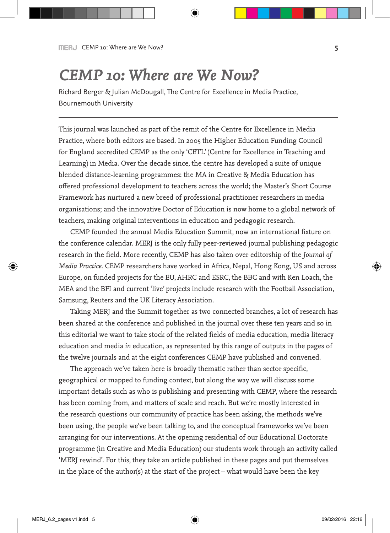# *CEMP 10: Where are We Now?*

Richard Berger & Julian McDougall, The Centre for Excellence in Media Practice, Bournemouth University

This journal was launched as part of the remit of the Centre for Excellence in Media Practice, where both editors are based. In 2005 the Higher Education Funding Council for England accredited CEMP as the only 'CETL' (Centre for Excellence in Teaching and Learning) in Media. Over the decade since, the centre has developed a suite of unique blended distance-learning programmes: the MA in Creative & Media Education has offered professional development to teachers across the world; the Master's Short Course Framework has nurtured a new breed of professional practitioner researchers in media organisations; and the innovative Doctor of Education is now home to a global network of teachers, making original interventions in education and pedagogic research.

CEMP founded the annual Media Education Summit, now an international fixture on the conference calendar. MERJ is the only fully peer-reviewed journal publishing pedagogic research in the field. More recently, CEMP has also taken over editorship of the *Journal of Media Practice*. CEMP researchers have worked in Africa, Nepal, Hong Kong, US and across Europe, on funded projects for the EU, AHRC and ESRC, the BBC and with Ken Loach, the MEA and the BFI and current 'live' projects include research with the Football Association, Samsung, Reuters and the UK Literacy Association.

Taking MERJ and the Summit together as two connected branches, a lot of research has been shared at the conference and published in the journal over these ten years and so in this editorial we want to take stock of the related fields of media education, media literacy education and media *in* education, as represented by this range of outputs in the pages of the twelve journals and at the eight conferences CEMP have published and convened.

The approach we've taken here is broadly thematic rather than sector specific, geographical or mapped to funding context, but along the way we will discuss some important details such as who is publishing and presenting with CEMP, where the research has been coming from, and matters of scale and reach. But we're mostly interested in the research questions our community of practice has been asking, the methods we've been using, the people we've been talking to, and the conceptual frameworks we've been arranging for our interventions. At the opening residential of our Educational Doctorate programme (in Creative and Media Education) our students work through an activity called 'MERJ rewind'. For this, they take an article published in these pages and put themselves in the place of the author(s) at the start of the project – what would have been the key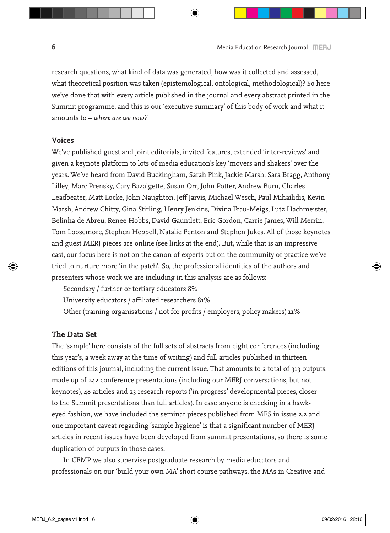research questions, what kind of data was generated, how was it collected and assessed, what theoretical position was taken (epistemological, ontological, methodological)? So here we've done that with every article published in the journal and every abstract printed in the Summit programme, and this is our 'executive summary' of this body of work and what it amounts to – *where are we now?*

## **Voices**

We've published guest and joint editorials, invited features, extended 'inter-reviews' and given a keynote platform to lots of media education's key 'movers and shakers' over the years. We've heard from David Buckingham, Sarah Pink, Jackie Marsh, Sara Bragg, Anthony Lilley, Marc Prensky, Cary Bazalgette, Susan Orr, John Potter, Andrew Burn, Charles Leadbeater, Matt Locke, John Naughton, Jeff Jarvis, Michael Wesch, Paul Mihailidis, Kevin Marsh, Andrew Chitty, Gina Stirling, Henry Jenkins, Divina Frau-Meigs, Lutz Hachmeister, Belinha de Abreu, Renee Hobbs, David Gauntlett, Eric Gordon, Carrie James, Will Merrin, Tom Loosemore, Stephen Heppell, Natalie Fenton and Stephen Jukes. All of those keynotes and guest MERJ pieces are online (see links at the end). But, while that is an impressive cast, our focus here is not on the canon of experts but on the community of practice we've tried to nurture more 'in the patch'. So, the professional identities of the authors and presenters whose work we are including in this analysis are as follows:

Secondary / further or tertiary educators 8% University educators / affiliated researchers 81% Other (training organisations / not for profits / employers, policy makers) 11%

# **The Data Set**

The 'sample' here consists of the full sets of abstracts from eight conferences (including this year's, a week away at the time of writing) and full articles published in thirteen editions of this journal, including the current issue. That amounts to a total of 313 outputs, made up of 242 conference presentations (including our MERJ conversations, but not keynotes), 48 articles and 23 research reports ('in progress' developmental pieces, closer to the Summit presentations than full articles). In case anyone is checking in a hawkeyed fashion, we have included the seminar pieces published from MES in issue 2.2 and one important caveat regarding 'sample hygiene' is that a significant number of MERJ articles in recent issues have been developed from summit presentations, so there is some duplication of outputs in those cases.

In CEMP we also supervise postgraduate research by media educators and professionals on our 'build your own MA' short course pathways, the MAs in Creative and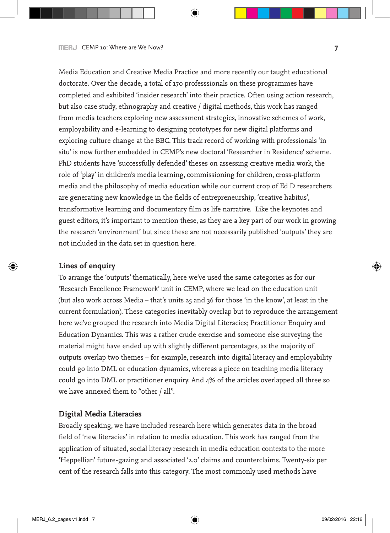Media Education and Creative Media Practice and more recently our taught educational doctorate. Over the decade, a total of 170 professsionals on these programmes have completed and exhibited 'insider research' into their practice. Often using action research, but also case study, ethnography and creative / digital methods, this work has ranged from media teachers exploring new assessment strategies, innovative schemes of work, employability and e-learning to designing prototypes for new digital platforms and exploring culture change at the BBC. This track record of working with professionals 'in situ' is now further embedded in CEMP's new doctoral 'Researcher in Residence' scheme. PhD students have 'successfully defended' theses on assessing creative media work, the role of 'play' in children's media learning, commissioning for children, cross-platform media and the philosophy of media education while our current crop of Ed D researchers are generating new knowledge in the fields of entrepreneurship, 'creative habitus', transformative learning and documentary film as life narrative. Like the keynotes and guest editors, it's important to mention these, as they are a key part of our work in growing the research 'environment' but since these are not necessarily published 'outputs' they are not included in the data set in question here.

## **Lines of enquiry**

To arrange the 'outputs' thematically, here we've used the same categories as for our 'Research Excellence Framework' unit in CEMP, where we lead on the education unit (but also work across Media – that's units 25 and 36 for those 'in the know', at least in the current formulation). These categories inevitably overlap but to reproduce the arrangement here we've grouped the research into Media Digital Literacies; Practitioner Enquiry and Education Dynamics. This was a rather crude exercise and someone else surveying the material might have ended up with slightly different percentages, as the majority of outputs overlap two themes – for example, research into digital literacy and employability could go into DML or education dynamics, whereas a piece on teaching media literacy could go into DML or practitioner enquiry. And 4% of the articles overlapped all three so we have annexed them to "other / all".

#### **Digital Media Literacies**

Broadly speaking, we have included research here which generates data in the broad field of 'new literacies' in relation to media education. This work has ranged from the application of situated, social literacy research in media education contexts to the more 'Heppellian' future-gazing and associated '2.0' claims and counterclaims. Twenty-six per cent of the research falls into this category. The most commonly used methods have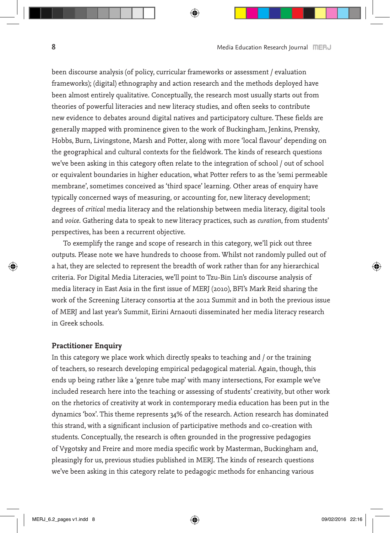been discourse analysis (of policy, curricular frameworks or assessment / evaluation frameworks); (digital) ethnography and action research and the methods deployed have been almost entirely qualitative. Conceptually, the research most usually starts out from theories of powerful literacies and new literacy studies, and often seeks to contribute new evidence to debates around digital natives and participatory culture. These fields are generally mapped with prominence given to the work of Buckingham, Jenkins, Prensky, Hobbs, Burn, Livingstone, Marsh and Potter, along with more 'local flavour' depending on the geographical and cultural contexts for the fieldwork. The kinds of research questions we've been asking in this category often relate to the integration of school / out of school or equivalent boundaries in higher education, what Potter refers to as the 'semi permeable membrane', sometimes conceived as 'third space' learning. Other areas of enquiry have typically concerned ways of measuring, or accounting for, new literacy development; degrees of *critical* media literacy and the relationship between media literacy, digital tools and *voice*. Gathering data to speak to new literacy practices, such as *curation*, from students' perspectives, has been a recurrent objective.

To exemplify the range and scope of research in this category, we'll pick out three outputs. Please note we have hundreds to choose from. Whilst not randomly pulled out of a hat, they are selected to represent the breadth of work rather than for any hierarchical criteria. For Digital Media Literacies, we'll point to Tzu-Bin Lin's discourse analysis of media literacy in East Asia in the first issue of MERJ (2010), BFI's Mark Reid sharing the work of the Screening Literacy consortia at the 2012 Summit and in both the previous issue of MERJ and last year's Summit, Eirini Arnaouti disseminated her media literacy research in Greek schools.

### **Practitioner Enquiry**

In this category we place work which directly speaks to teaching and / or the training of teachers, so research developing empirical pedagogical material. Again, though, this ends up being rather like a 'genre tube map' with many intersections, For example we've included research here into the teaching or assessing of students' creativity, but other work on the rhetorics of creativity at work in contemporary media education has been put in the dynamics 'box'. This theme represents 34% of the research. Action research has dominated this strand, with a significant inclusion of participative methods and co-creation with students. Conceptually, the research is often grounded in the progressive pedagogies of Vygotsky and Freire and more media specific work by Masterman, Buckingham and, pleasingly for us, previous studies published in MERJ. The kinds of research questions we've been asking in this category relate to pedagogic methods for enhancing various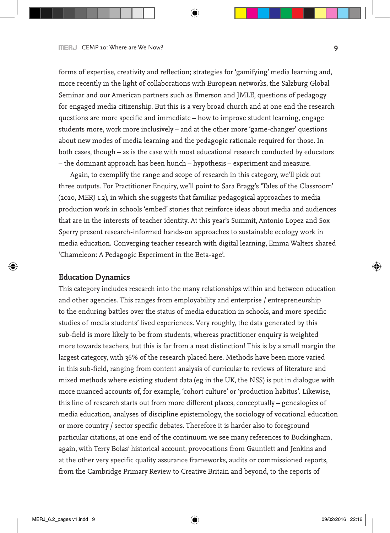forms of expertise, creativity and reflection; strategies for 'gamifying' media learning and, more recently in the light of collaborations with European networks, the Salzburg Global Seminar and our American partners such as Emerson and JMLE, questions of pedagogy for engaged media citizenship. But this is a very broad church and at one end the research questions are more specific and immediate – how to improve student learning, engage students more, work more inclusively – and at the other more 'game-changer' questions about new modes of media learning and the pedagogic rationale required for those. In both cases, though – as is the case with most educational research conducted by educators – the dominant approach has been hunch – hypothesis – experiment and measure.

Again, to exemplify the range and scope of research in this category, we'll pick out three outputs. For Practitioner Enquiry, we'll point to Sara Bragg's 'Tales of the Classroom' (2010, MERJ 1.2), in which she suggests that familiar pedagogical approaches to media production work in schools 'embed' stories that reinforce ideas about media and audiences that are in the interests of teacher identity. At this year's Summit, Antonio Lopez and Sox Sperry present research-informed hands-on approaches to sustainable ecology work in media education. Converging teacher research with digital learning, Emma Walters shared 'Chameleon: A Pedagogic Experiment in the Beta-age'.

#### **Education Dynamics**

This category includes research into the many relationships within and between education and other agencies. This ranges from employability and enterprise / entrepreneurship to the enduring battles over the status of media education in schools, and more specific studies of media students' lived experiences. Very roughly, the data generated by this sub-field is more likely to be from students, whereas practitioner enquiry is weighted more towards teachers, but this is far from a neat distinction! This is by a small margin the largest category, with 36% of the research placed here. Methods have been more varied in this sub-field, ranging from content analysis of curricular to reviews of literature and mixed methods where existing student data (eg in the UK, the NSS) is put in dialogue with more nuanced accounts of, for example, 'cohort culture' or 'production habitus'. Likewise, this line of research starts out from more different places, conceptually – genealogies of media education, analyses of discipline epistemology, the sociology of vocational education or more country / sector specific debates. Therefore it is harder also to foreground particular citations, at one end of the continuum we see many references to Buckingham, again, with Terry Bolas' historical account, provocations from Gauntlett and Jenkins and at the other very specific quality assurance frameworks, audits or commissioned reports, from the Cambridge Primary Review to Creative Britain and beyond, to the reports of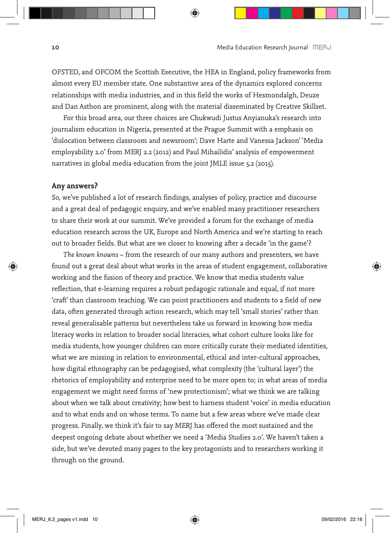OFSTED, and OFCOM the Scottish Executive, the HEA in England, policy frameworks from almost every EU member state. One substantive area of the dynamics explored concerns relationships with media industries, and in this field the works of Hesmondalgh, Deuze and Dan Asthon are prominent, along with the material disseminated by Creative Skillset.

For this broad area, our three choices are Chukwudi Justus Anyianuka's research into journalism education in Nigeria, presented at the Prague Summit with a emphasis on 'dislocation between classroom and newsroom'; Dave Harte and Vanessa Jackson' 'Media employability 2.0' from MERJ 2.2 (2012) and Paul Mihailidis' analysis of empowerment narratives in global media education from the joint JMLE issue 5.2 (2015).

## **Any answers?**

So, we've published a lot of research findings, analyses of policy, practice and discourse and a great deal of pedagogic enquiry, and we've enabled many practitioner researchers to share their work at our summit. We've provided a forum for the exchange of media education research across the UK, Europe and North America and we're starting to reach out to broader fields. But what are we closer to knowing after a decade 'in the game'?

*The known knowns* – from the research of our many authors and presenters, we have found out a great deal about what works in the areas of student engagement, collaborative working and the fusion of theory and practice. We know that media students value reflection, that e-learning requires a robust pedagogic rationale and equal, if not more 'craft' than classroom teaching. We can point practitioners and students to a field of new data, often generated through action research, which may tell 'small stories' rather than reveal generalisable patterns but nevertheless take us forward in knowing how media literacy works in relation to broader social literacies, what cohort culture looks like for media students, how younger children can more critically curate their mediated identities, what we are missing in relation to environmental, ethical and inter-cultural approaches, how digital ethnography can be pedagogised, what complexity (the 'cultural layer') the rhetorics of employability and enterprise need to be more open to; in what areas of media engagement we might need forms of 'new protectionism'; what we think we are talking about when we talk about creativity; how best to harness student 'voice' in media education and to what ends and on whose terms. To name but a few areas where we've made clear progress. Finally, we think it's fair to say MERJ has offered the most sustained and the deepest ongoing debate about whether we need a 'Media Studies 2.0'. We haven't taken a side, but we've devoted many pages to the key protagonists and to researchers working it through on the ground.